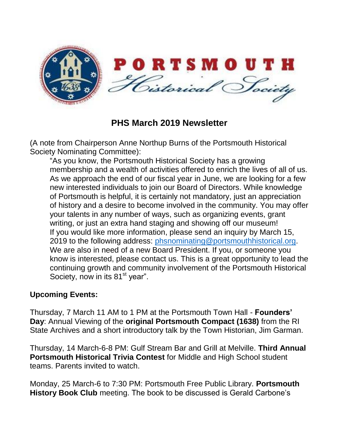

**PHS March 2019 Newsletter**

(A note from Chairperson Anne Northup Burns of the Portsmouth Historical Society Nominating Committee):

"As you know, the Portsmouth Historical Society has a growing membership and a wealth of activities offered to enrich the lives of all of us. As we approach the end of our fiscal year in June, we are looking for a few new interested individuals to join our Board of Directors. While knowledge of Portsmouth is helpful, it is certainly not mandatory, just an appreciation of history and a desire to become involved in the community. You may offer your talents in any number of ways, such as organizing events, grant writing, or just an extra hand staging and showing off our museum! If you would like more information, please send an inquiry by March 15, 2019 to the following address: [phsnominating@portsmouthhistorical.org.](mailto:phsnominating@portsmouthhistorical.org) We are also in need of a new Board President. If you, or someone you know is interested, please contact us. This is a great opportunity to lead the continuing growth and community involvement of the Portsmouth Historical Society, now in its  $81<sup>st</sup>$  year".

## **Upcoming Events:**

Thursday, 7 March 11 AM to 1 PM at the Portsmouth Town Hall - **Founders' Day**: Annual Viewing of the **original Portsmouth Compact (1638)** from the RI State Archives and a short introductory talk by the Town Historian, Jim Garman.

Thursday, 14 March-6-8 PM: Gulf Stream Bar and Grill at Melville. **Third Annual Portsmouth Historical Trivia Contest** for Middle and High School student teams. Parents invited to watch.

Monday, 25 March-6 to 7:30 PM: Portsmouth Free Public Library. **Portsmouth History Book Club** meeting. The book to be discussed is Gerald Carbone's